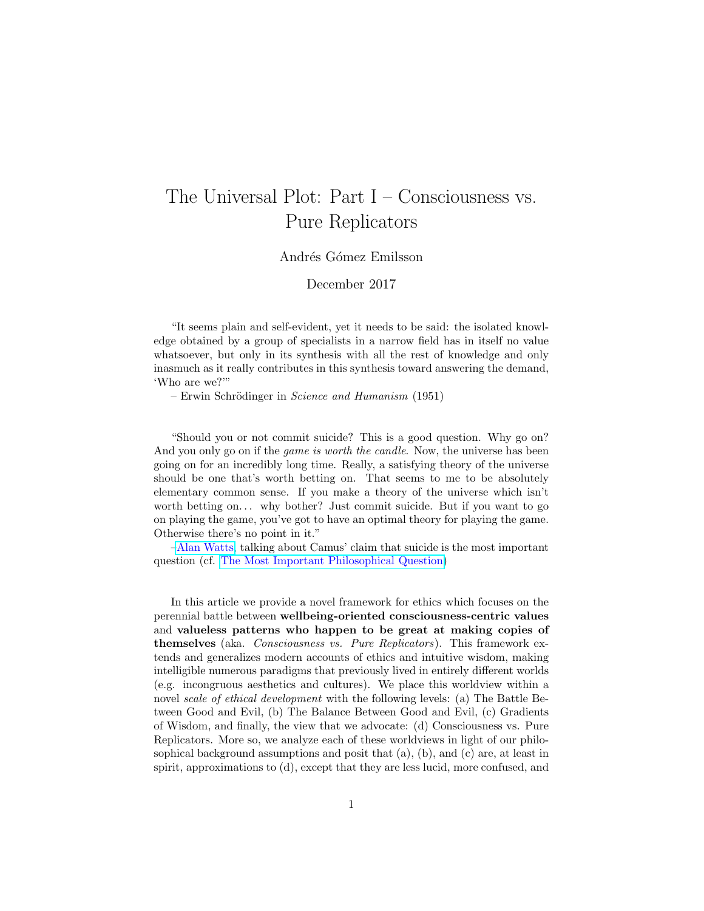# The Universal Plot: Part I – Consciousness vs. Pure Replicators

Andrés Gómez Emilsson

December 2017

"It seems plain and self-evident, yet it needs to be said: the isolated knowledge obtained by a group of specialists in a narrow field has in itself no value whatsoever, but only in its synthesis with all the rest of knowledge and only inasmuch as it really contributes in this synthesis toward answering the demand, 'Who are we?'"

 $-$  Erwin Schrödinger in *Science and Humanism* (1951)

"Should you or not commit suicide? This is a good question. Why go on? And you only go on if the *game is worth the candle*. Now, the universe has been going on for an incredibly long time. Really, a satisfying theory of the universe should be one that's worth betting on. That seems to me to be absolutely elementary common sense. If you make a theory of the universe which isn't worth betting on... why bother? Just commit suicide. But if you want to go on playing the game, you've got to have an optimal theory for playing the game. Otherwise there's no point in it."

[–Alan Watts,](https://www.youtube.com/watch?v=dSmWyT0Sa04) talking about Camus' claim that suicide is the most important question (cf. [The Most Important Philosophical Question\)](https://qualiacomputing.com/2017/05/04/the-most-important-philosophical-question/)

In this article we provide a novel framework for ethics which focuses on the perennial battle between wellbeing-oriented consciousness-centric values and valueless patterns who happen to be great at making copies of themselves (aka. Consciousness vs. Pure Replicators). This framework extends and generalizes modern accounts of ethics and intuitive wisdom, making intelligible numerous paradigms that previously lived in entirely different worlds (e.g. incongruous aesthetics and cultures). We place this worldview within a novel *scale of ethical development* with the following levels: (a) The Battle Between Good and Evil, (b) The Balance Between Good and Evil, (c) Gradients of Wisdom, and finally, the view that we advocate: (d) Consciousness vs. Pure Replicators. More so, we analyze each of these worldviews in light of our philosophical background assumptions and posit that (a), (b), and (c) are, at least in spirit, approximations to (d), except that they are less lucid, more confused, and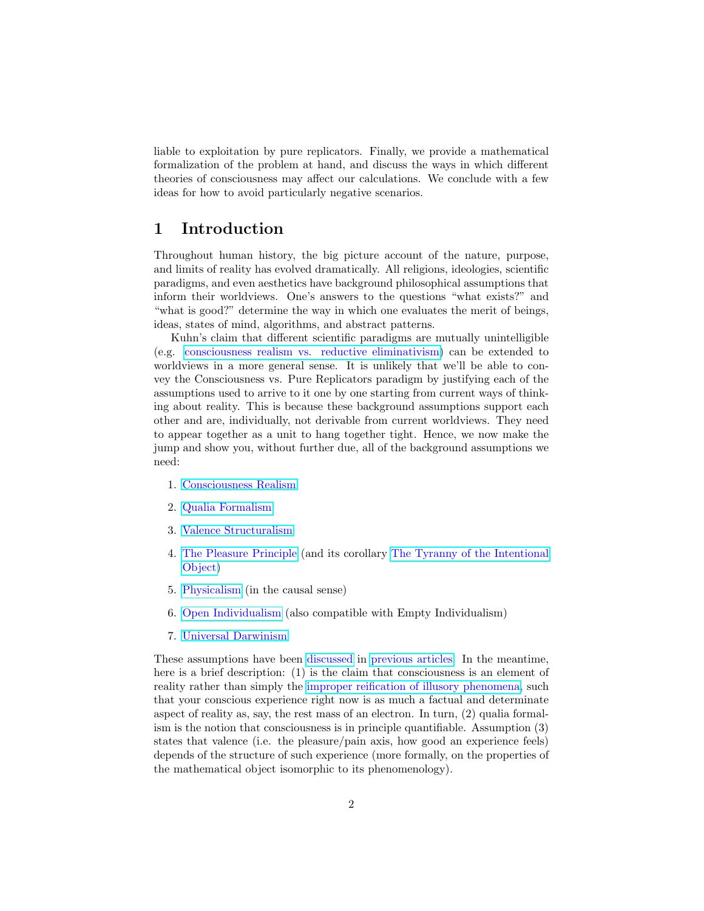liable to exploitation by pure replicators. Finally, we provide a mathematical formalization of the problem at hand, and discuss the ways in which different theories of consciousness may affect our calculations. We conclude with a few ideas for how to avoid particularly negative scenarios.

## 1 Introduction

Throughout human history, the big picture account of the nature, purpose, and limits of reality has evolved dramatically. All religions, ideologies, scientific paradigms, and even aesthetics have background philosophical assumptions that inform their worldviews. One's answers to the questions "what exists?" and "what is good?" determine the way in which one evaluates the merit of beings, ideas, states of mind, algorithms, and abstract patterns.

Kuhn's claim that different scientific paradigms are mutually unintelligible (e.g. [consciousness realism vs. reductive eliminativism\)](https://www.quora.com/What-are-the-main-points-of-disagreement-between-Brian-Tomasik-and-David-Pearce) can be extended to worldviews in a more general sense. It is unlikely that we'll be able to convey the Consciousness vs. Pure Replicators paradigm by justifying each of the assumptions used to arrive to it one by one starting from current ways of thinking about reality. This is because these background assumptions support each other and are, individually, not derivable from current worldviews. They need to appear together as a unit to hang together tight. Hence, we now make the jump and show you, without further due, all of the background assumptions we need:

- 1. [Consciousness Realism](https://www.utilitarianism.com/magnus-vinding/consciousness-realism.html)
- 2. [Qualia Formalism](https://opentheory.net/2016/11/principia-qualia/)
- 3. [Valence Structuralism](https://qualiacomputing.com/2017/05/17/principia-qualia-part-ii-valence/)
- 4. [The Pleasure Principle](https://en.wikipedia.org/wiki/Pleasure_principle_(psychology)) (and its corollary [The Tyranny of the Intentional](https://qualiacomputing.com/2016/11/19/the-tyranny-of-the-intentional-object/) [Object\)](https://qualiacomputing.com/2016/11/19/the-tyranny-of-the-intentional-object/)
- 5. [Physicalism](https://plato.stanford.edu/entries/physicalism/) (in the causal sense)
- 6. [Open Individualism](https://qualiacomputing.com/2015/12/17/ontological-qualia-the-future-of-personal-identity/) (also compatible with Empty Individualism)
- 7. [Universal Darwinism](https://en.wikipedia.org/wiki/Universal_Darwinism)

These assumptions have been [discussed](https://qualiacomputing.com/2017/05/17/principia-qualia-part-ii-valence/) in [previous articles.](https://qualiacomputing.com/2017/02/19/raising-the-table-stakes-for-successful-theories-of-consciousness/) In the meantime, here is a brief description: (1) is the claim that consciousness is an element of reality rather than simply the [improper reification of illusory phenomena,](https://longtermrisk.org/the-eliminativist-approach-to-consciousness/) such that your conscious experience right now is as much a factual and determinate aspect of reality as, say, the rest mass of an electron. In turn, (2) qualia formalism is the notion that consciousness is in principle quantifiable. Assumption (3) states that valence (i.e. the pleasure/pain axis, how good an experience feels) depends of the structure of such experience (more formally, on the properties of the mathematical object isomorphic to its phenomenology).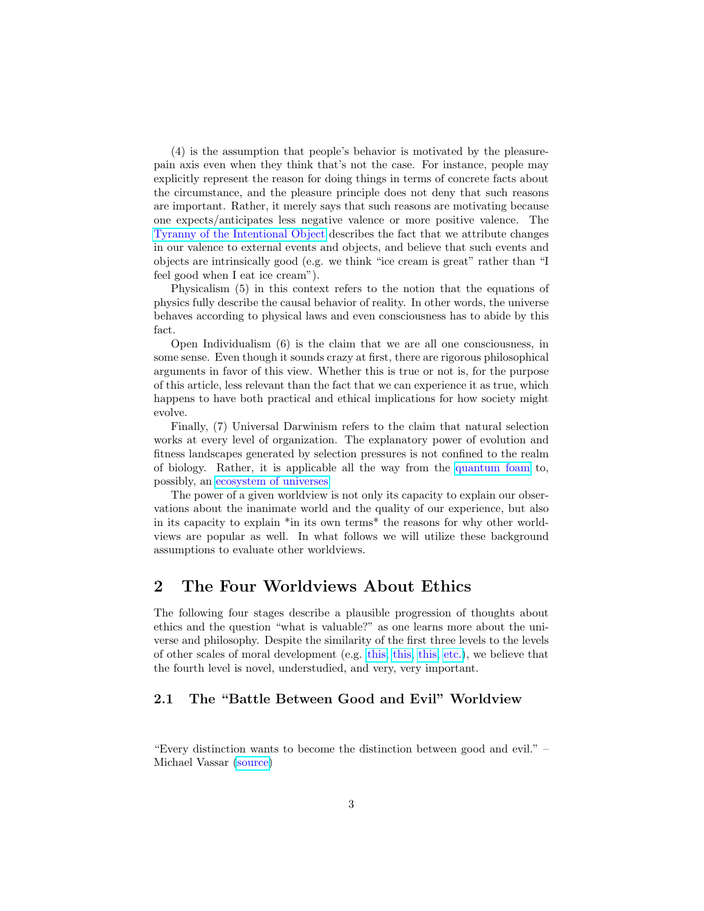(4) is the assumption that people's behavior is motivated by the pleasurepain axis even when they think that's not the case. For instance, people may explicitly represent the reason for doing things in terms of concrete facts about the circumstance, and the pleasure principle does not deny that such reasons are important. Rather, it merely says that such reasons are motivating because one expects/anticipates less negative valence or more positive valence. The [Tyranny of the Intentional Object](https://qualiacomputing.com/2016/11/19/the-tyranny-of-the-intentional-object/) describes the fact that we attribute changes in our valence to external events and objects, and believe that such events and objects are intrinsically good (e.g. we think "ice cream is great" rather than "I feel good when I eat ice cream").

Physicalism (5) in this context refers to the notion that the equations of physics fully describe the causal behavior of reality. In other words, the universe behaves according to physical laws and even consciousness has to abide by this fact.

Open Individualism (6) is the claim that we are all one consciousness, in some sense. Even though it sounds crazy at first, there are rigorous philosophical arguments in favor of this view. Whether this is true or not is, for the purpose of this article, less relevant than the fact that we can experience it as true, which happens to have both practical and ethical implications for how society might evolve.

Finally, (7) Universal Darwinism refers to the claim that natural selection works at every level of organization. The explanatory power of evolution and fitness landscapes generated by selection pressures is not confined to the realm of biology. Rather, it is applicable all the way from the [quantum foam](https://arxiv.org/abs/0903.5082) to, possibly, an [ecosystem of universes.](https://arxiv.org/pdf/gr-qc/0205119.pdf)

The power of a given worldview is not only its capacity to explain our observations about the inanimate world and the quality of our experience, but also in its capacity to explain \*in its own terms\* the reasons for why other worldviews are popular as well. In what follows we will utilize these background assumptions to evaluate other worldviews.

# 2 The Four Worldviews About Ethics

The following four stages describe a plausible progression of thoughts about ethics and the question "what is valuable?" as one learns more about the universe and philosophy. Despite the similarity of the first three levels to the levels of other scales of moral development (e.g. [this,](https://en.wikipedia.org/wiki/Integral_theory_(Ken_Wilber)) [this,](http://metamoderna.org/what-is-the-mhc/?lang=en) [this,](https://en.wikipedia.org/wiki/Robert_Kegan##The_Evolving_Self) [etc.\)](https://en.wikipedia.org/wiki/Developmental_stage_theories), we believe that the fourth level is novel, understudied, and very, very important.

### 2.1 The "Battle Between Good and Evil" Worldview

"Every distinction wants to become the distinction between good and evil." – Michael Vassar [\(source\)](https://twitter.com/michaelvassar/status/7209244943)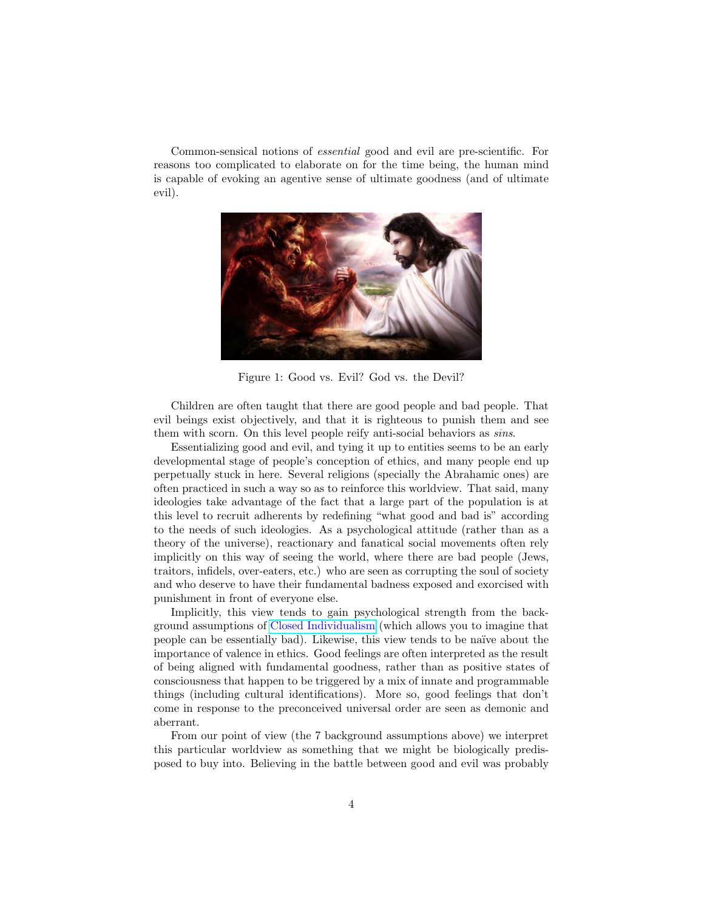Common-sensical notions of essential good and evil are pre-scientific. For reasons too complicated to elaborate on for the time being, the human mind is capable of evoking an agentive sense of ultimate goodness (and of ultimate evil).



Figure 1: Good vs. Evil? God vs. the Devil?

Children are often taught that there are good people and bad people. That evil beings exist objectively, and that it is righteous to punish them and see them with scorn. On this level people reify anti-social behaviors as sins.

Essentializing good and evil, and tying it up to entities seems to be an early developmental stage of people's conception of ethics, and many people end up perpetually stuck in here. Several religions (specially the Abrahamic ones) are often practiced in such a way so as to reinforce this worldview. That said, many ideologies take advantage of the fact that a large part of the population is at this level to recruit adherents by redefining "what good and bad is" according to the needs of such ideologies. As a psychological attitude (rather than as a theory of the universe), reactionary and fanatical social movements often rely implicitly on this way of seeing the world, where there are bad people (Jews, traitors, infidels, over-eaters, etc.) who are seen as corrupting the soul of society and who deserve to have their fundamental badness exposed and exorcised with punishment in front of everyone else.

Implicitly, this view tends to gain psychological strength from the background assumptions of [Closed Individualism](https://qualiacomputing.com/2015/12/17/ontological-qualia-the-future-of-personal-identity/##jp-carousel-1309) (which allows you to imagine that people can be essentially bad). Likewise, this view tends to be na¨ıve about the importance of valence in ethics. Good feelings are often interpreted as the result of being aligned with fundamental goodness, rather than as positive states of consciousness that happen to be triggered by a mix of innate and programmable things (including cultural identifications). More so, good feelings that don't come in response to the preconceived universal order are seen as demonic and aberrant.

From our point of view (the 7 background assumptions above) we interpret this particular worldview as something that we might be biologically predisposed to buy into. Believing in the battle between good and evil was probably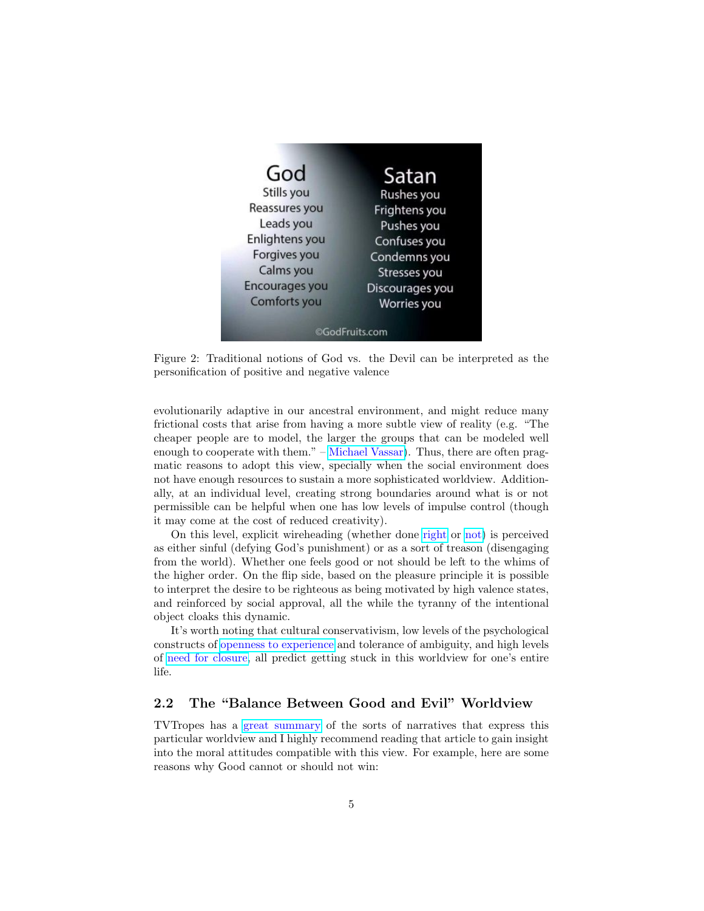

Figure 2: Traditional notions of God vs. the Devil can be interpreted as the personification of positive and negative valence

evolutionarily adaptive in our ancestral environment, and might reduce many frictional costs that arise from having a more subtle view of reality (e.g. "The cheaper people are to model, the larger the groups that can be modeled well enough to cooperate with them." – [Michael Vassar\)](https://twitter.com/michaelvassar/status/5708739333). Thus, there are often pragmatic reasons to adopt this view, specially when the social environment does not have enough resources to sustain a more sophisticated worldview. Additionally, at an individual level, creating strong boundaries around what is or not permissible can be helpful when one has low levels of impulse control (though it may come at the cost of reduced creativity).

On this level, explicit wireheading (whether done [right](https://qualiacomputing.com/2016/08/20/wireheading_done_right/) or [not\)](https://www.paradise-engineering.com/brain/) is perceived as either sinful (defying God's punishment) or as a sort of treason (disengaging from the world). Whether one feels good or not should be left to the whims of the higher order. On the flip side, based on the pleasure principle it is possible to interpret the desire to be righteous as being motivated by high valence states, and reinforced by social approval, all the while the tyranny of the intentional object cloaks this dynamic.

It's worth noting that cultural conservativism, low levels of the psychological constructs of [openness to experience](https://en.wikipedia.org/wiki/Openness_to_experience) and tolerance of ambiguity, and high levels of [need for closure,](https://en.wikipedia.org/wiki/Closure_(psychology)) all predict getting stuck in this worldview for one's entire life.

### 2.2 The "Balance Between Good and Evil" Worldview

TVTropes has a [great summary](https://tvtropes.org/pmwiki/pmwiki.php/Main/BalanceBetweenGoodAndEvil) of the sorts of narratives that express this particular worldview and I highly recommend reading that article to gain insight into the moral attitudes compatible with this view. For example, here are some reasons why Good cannot or should not win: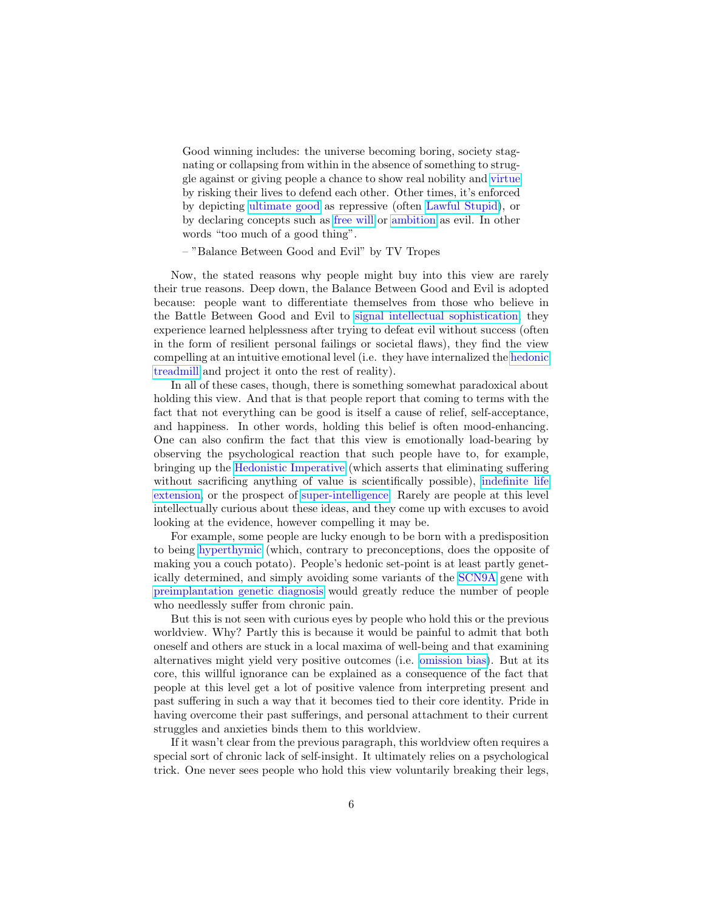Good winning includes: the universe becoming boring, society stagnating or collapsing from within in the absence of something to struggle against or giving people a chance to show real nobility and [virtue](https://tvtropes.org/pmwiki/pmwiki.php/Main/VirtueViceCodification) by risking their lives to defend each other. Other times, it's enforced by depicting [ultimate good](https://tvtropes.org/pmwiki/pmwiki.php/Main/Utopia) as repressive (often [Lawful Stupid\)](https://tvtropes.org/pmwiki/pmwiki.php/Main/LawfulStupid), or by declaring concepts such as [free will](https://tvtropes.org/pmwiki/pmwiki.php/Main/TheEvilsOfFreeWill) or [ambition](https://tvtropes.org/pmwiki/pmwiki.php/Main/AmbitionIsEvil) as evil. In other words "too much of a good thing".

– "Balance Between Good and Evil" by TV Tropes

Now, the stated reasons why people might buy into this view are rarely their true reasons. Deep down, the Balance Between Good and Evil is adopted because: people want to differentiate themselves from those who believe in the Battle Between Good and Evil to [signal intellectual sophistication,](https://www.lesswrong.com/posts/9kcTNWopvXFncXgPy/intellectual-hipsters-and-meta-contrarianism) they experience learned helplessness after trying to defeat evil without success (often in the form of resilient personal failings or societal flaws), they find the view compelling at an intuitive emotional level (i.e. they have internalized the [hedonic](http://sprott.physics.wisc.edu/pubs/paper281.pdf) [treadmill](http://sprott.physics.wisc.edu/pubs/paper281.pdf) and project it onto the rest of reality).

In all of these cases, though, there is something somewhat paradoxical about holding this view. And that is that people report that coming to terms with the fact that not everything can be good is itself a cause of relief, self-acceptance, and happiness. In other words, holding this belief is often mood-enhancing. One can also confirm the fact that this view is emotionally load-bearing by observing the psychological reaction that such people have to, for example, bringing up the [Hedonistic Imperative](https://www.hedweb.com/hedab.htm) (which asserts that eliminating suffering without sacrificing anything of value is scientifically possible), [indefinite life](https://www.ted.com/talks/aubrey_de_grey_a_roadmap_to_end_aging) [extension,](https://www.ted.com/talks/aubrey_de_grey_a_roadmap_to_end_aging) or the prospect of [super-intelligence.](https://qualiacomputing.com/2016/03/08/the-biointelligence-explossion/) Rarely are people at this level intellectually curious about these ideas, and they come up with excuses to avoid looking at the evidence, however compelling it may be.

For example, some people are lucky enough to be born with a predisposition to being [hyperthymic](https://en.wikipedia.org/wiki/Hyperthymic_temperament) (which, contrary to preconceptions, does the opposite of making you a couch potato). People's hedonic set-point is at least partly genetically determined, and simply avoiding some variants of the [SCN9A](https://www.sciencemag.org/news/2010/03/pains-genes) gene with [preimplantation genetic diagnosis](https://en.wikipedia.org/wiki/Preimplantation_genetic_diagnosis) would greatly reduce the number of people who needlessly suffer from chronic pain.

But this is not seen with curious eyes by people who hold this or the previous worldview. Why? Partly this is because it would be painful to admit that both oneself and others are stuck in a local maxima of well-being and that examining alternatives might yield very positive outcomes (i.e. [omission bias\)](https://en.wikipedia.org/wiki/Omission_bias). But at its core, this willful ignorance can be explained as a consequence of the fact that people at this level get a lot of positive valence from interpreting present and past suffering in such a way that it becomes tied to their core identity. Pride in having overcome their past sufferings, and personal attachment to their current struggles and anxieties binds them to this worldview.

If it wasn't clear from the previous paragraph, this worldview often requires a special sort of chronic lack of self-insight. It ultimately relies on a psychological trick. One never sees people who hold this view voluntarily breaking their legs,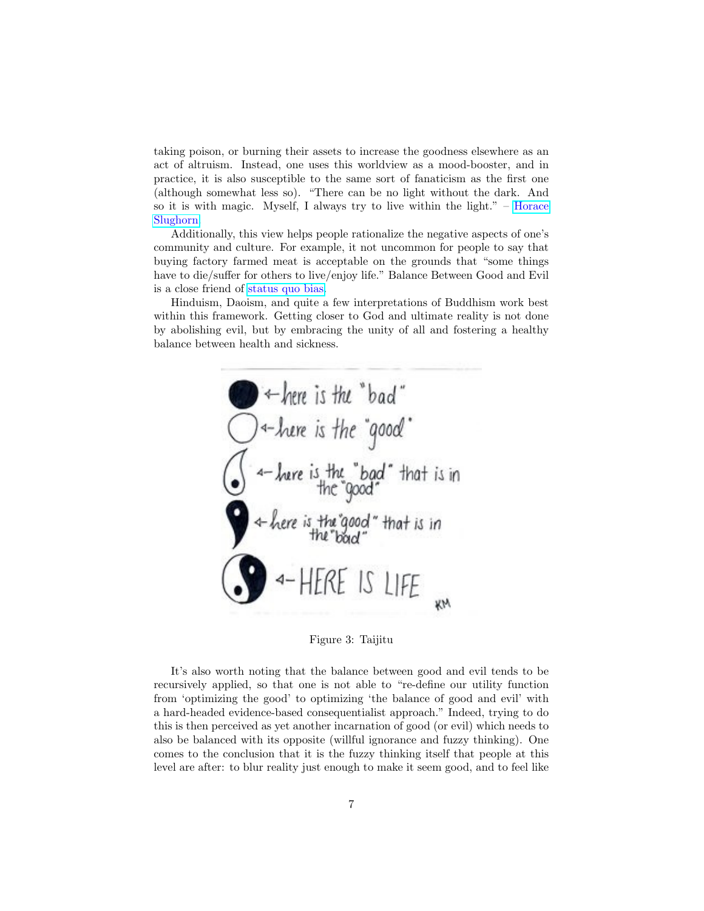taking poison, or burning their assets to increase the goodness elsewhere as an act of altruism. Instead, one uses this worldview as a mood-booster, and in practice, it is also susceptible to the same sort of fanaticism as the first one (although somewhat less so). "There can be no light without the dark. And so it is with magic. Myself, I always try to live within the light." – [Horace](https://harrypotter.fandom.com/wiki/Horace_Slughorn) [Slughorn.](https://harrypotter.fandom.com/wiki/Horace_Slughorn)

Additionally, this view helps people rationalize the negative aspects of one's community and culture. For example, it not uncommon for people to say that buying factory farmed meat is acceptable on the grounds that "some things have to die/suffer for others to live/enjoy life." Balance Between Good and Evil is a close friend of [status quo bias.](https://en.wikipedia.org/wiki/Status_quo_bias)

Hinduism, Daoism, and quite a few interpretations of Buddhism work best within this framework. Getting closer to God and ultimate reality is not done by abolishing evil, but by embracing the unity of all and fostering a healthy balance between health and sickness.



Figure 3: Taijitu

It's also worth noting that the balance between good and evil tends to be recursively applied, so that one is not able to "re-define our utility function from 'optimizing the good' to optimizing 'the balance of good and evil' with a hard-headed evidence-based consequentialist approach." Indeed, trying to do this is then perceived as yet another incarnation of good (or evil) which needs to also be balanced with its opposite (willful ignorance and fuzzy thinking). One comes to the conclusion that it is the fuzzy thinking itself that people at this level are after: to blur reality just enough to make it seem good, and to feel like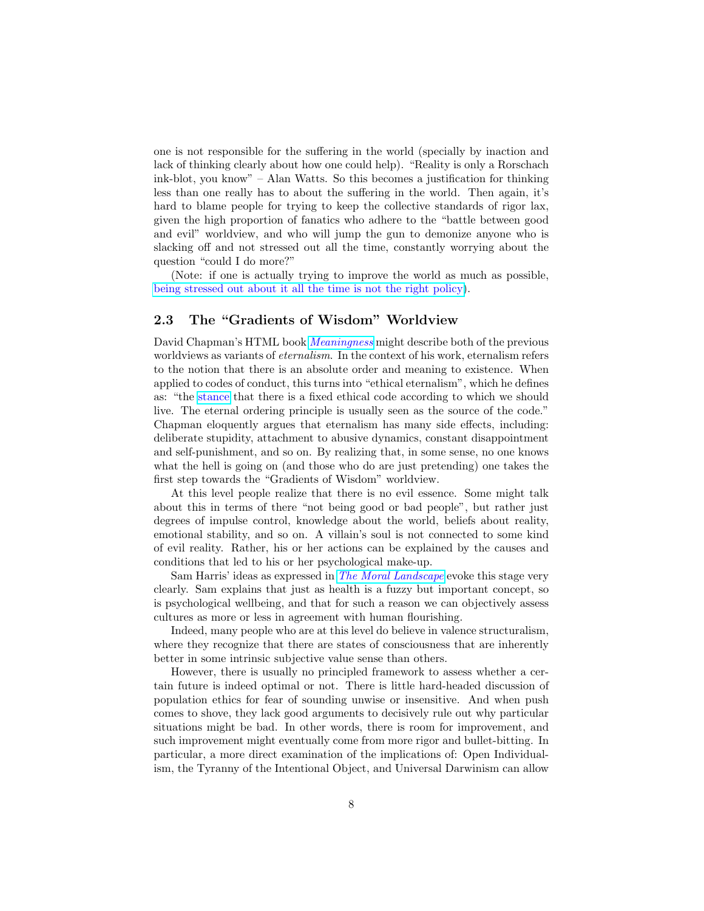one is not responsible for the suffering in the world (specially by inaction and lack of thinking clearly about how one could help). "Reality is only a Rorschach ink-blot, you know" – Alan Watts. So this becomes a justification for thinking less than one really has to about the suffering in the world. Then again, it's hard to blame people for trying to keep the collective standards of rigor lax, given the high proportion of fanatics who adhere to the "battle between good and evil" worldview, and who will jump the gun to demonize anyone who is slacking off and not stressed out all the time, constantly worrying about the question "could I do more?"

(Note: if one is actually trying to improve the world as much as possible, [being stressed out about it all the time is not the right policy\)](http://crucialconsiderations.org/ethics/demandingness/).

### 2.3 The "Gradients of Wisdom" Worldview

David Chapman's HTML book [Meaningness](https://meaningness.com/) might describe both of the previous worldviews as variants of *eternalism*. In the context of his work, eternalism refers to the notion that there is an absolute order and meaning to existence. When applied to codes of conduct, this turns into "ethical eternalism", which he defines as: "the [stance](https://meaningness.com/stance-anatomy) that there is a fixed ethical code according to which we should live. The eternal ordering principle is usually seen as the source of the code." Chapman eloquently argues that eternalism has many side effects, including: deliberate stupidity, attachment to abusive dynamics, constant disappointment and self-punishment, and so on. By realizing that, in some sense, no one knows what the hell is going on (and those who do are just pretending) one takes the first step towards the "Gradients of Wisdom" worldview.

At this level people realize that there is no evil essence. Some might talk about this in terms of there "not being good or bad people", but rather just degrees of impulse control, knowledge about the world, beliefs about reality, emotional stability, and so on. A villain's soul is not connected to some kind of evil reality. Rather, his or her actions can be explained by the causes and conditions that led to his or her psychological make-up.

Sam Harris' ideas as expressed in *[The Moral Landscape](https://samharris.org/books/the-moral-landscape/)* evoke this stage very clearly. Sam explains that just as health is a fuzzy but important concept, so is psychological wellbeing, and that for such a reason we can objectively assess cultures as more or less in agreement with human flourishing.

Indeed, many people who are at this level do believe in valence structuralism, where they recognize that there are states of consciousness that are inherently better in some intrinsic subjective value sense than others.

However, there is usually no principled framework to assess whether a certain future is indeed optimal or not. There is little hard-headed discussion of population ethics for fear of sounding unwise or insensitive. And when push comes to shove, they lack good arguments to decisively rule out why particular situations might be bad. In other words, there is room for improvement, and such improvement might eventually come from more rigor and bullet-bitting. In particular, a more direct examination of the implications of: Open Individualism, the Tyranny of the Intentional Object, and Universal Darwinism can allow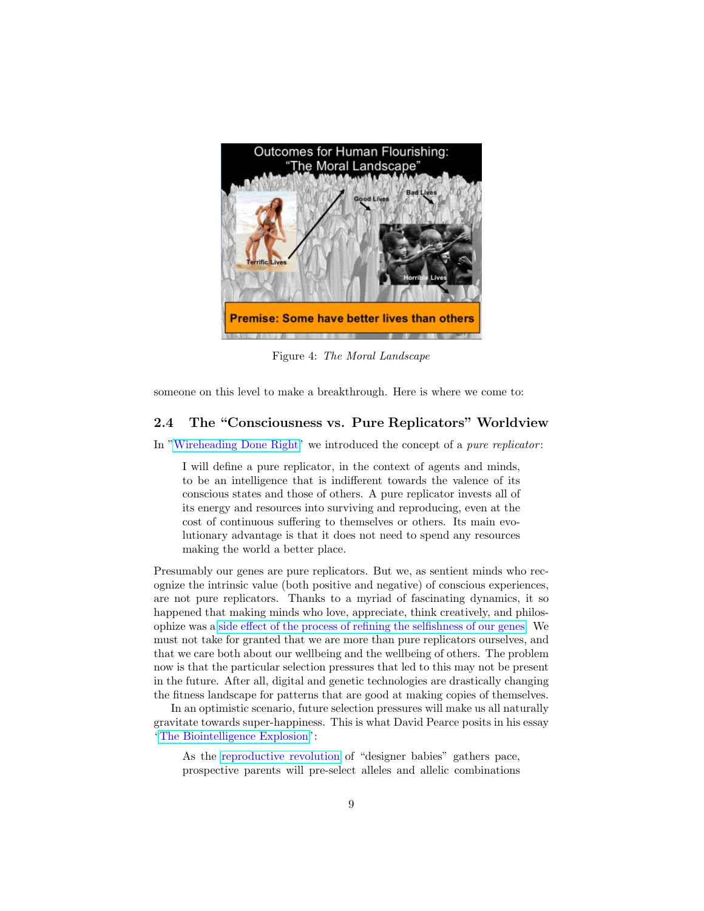

Figure 4: The Moral Landscape

someone on this level to make a breakthrough. Here is where we come to:

### 2.4 The "Consciousness vs. Pure Replicators" Worldview

In ["Wireheading Done Right"](https://qualiacomputing.com/2016/08/20/wireheading_done_right/) we introduced the concept of a *pure replicator*:

I will define a pure replicator, in the context of agents and minds, to be an intelligence that is indifferent towards the valence of its conscious states and those of others. A pure replicator invests all of its energy and resources into surviving and reproducing, even at the cost of continuous suffering to themselves or others. Its main evolutionary advantage is that it does not need to spend any resources making the world a better place.

Presumably our genes are pure replicators. But we, as sentient minds who recognize the intrinsic value (both positive and negative) of conscious experiences, are not pure replicators. Thanks to a myriad of fascinating dynamics, it so happened that making minds who love, appreciate, think creatively, and philosophize was a [side effect of the process of refining the selfishness of our genes.](https://qualiacomputing.com/2016/06/04/the-mating-mind/) We must not take for granted that we are more than pure replicators ourselves, and that we care both about our wellbeing and the wellbeing of others. The problem now is that the particular selection pressures that led to this may not be present in the future. After all, digital and genetic technologies are drastically changing the fitness landscape for patterns that are good at making copies of themselves.

In an optimistic scenario, future selection pressures will make us all naturally gravitate towards super-happiness. This is what David Pearce posits in his essay ["The Biointelligence Explosion"](https://www.biointelligence-explosion.com/):

As the [reproductive revolution](https://www.reproductive-revolution.com/) of "designer babies" gathers pace, prospective parents will pre-select alleles and allelic combinations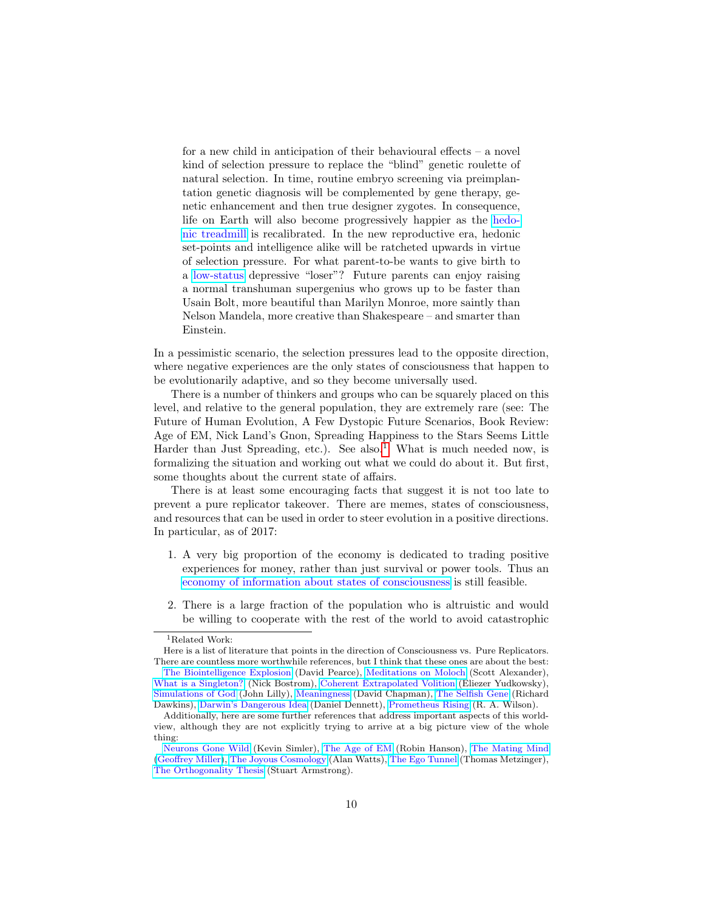for a new child in anticipation of their behavioural effects – a novel kind of selection pressure to replace the "blind" genetic roulette of natural selection. In time, routine embryo screening via preimplantation genetic diagnosis will be complemented by gene therapy, genetic enhancement and then true designer zygotes. In consequence, life on Earth will also become progressively happier as the [hedo](https://www.abolitionist.com/darwinian-life/happiness.html)[nic treadmill](https://www.abolitionist.com/darwinian-life/happiness.html) is recalibrated. In the new reproductive era, hedonic set-points and intelligence alike will be ratcheted upwards in virtue of selection pressure. For what parent-to-be wants to give birth to a [low-status](https://www.biopsychiatry.com/depression/index.html) depressive "loser"? Future parents can enjoy raising a normal transhuman supergenius who grows up to be faster than Usain Bolt, more beautiful than Marilyn Monroe, more saintly than Nelson Mandela, more creative than Shakespeare – and smarter than Einstein.

In a pessimistic scenario, the selection pressures lead to the opposite direction, where negative experiences are the only states of consciousness that happen to be evolutionarily adaptive, and so they become universally used.

There is a number of thinkers and groups who can be squarely placed on this level, and relative to the general population, they are extremely rare (see: The Future of Human Evolution, A Few Dystopic Future Scenarios, Book Review: Age of EM, Nick Land's Gnon, Spreading Happiness to the Stars Seems Little Harder than Just Spreading, etc.). See also.<sup>[1](#page-9-0)</sup> What is much needed now, is formalizing the situation and working out what we could do about it. But first, some thoughts about the current state of affairs.

There is at least some encouraging facts that suggest it is not too late to prevent a pure replicator takeover. There are memes, states of consciousness, and resources that can be used in order to steer evolution in a positive directions. In particular, as of 2017:

- 1. A very big proportion of the economy is dedicated to trading positive experiences for money, rather than just survival or power tools. Thus an [economy of information about states of consciousness](https://qualiacomputing.com/2016/08/20/wireheading_done_right/) is still feasible.
- 2. There is a large fraction of the population who is altruistic and would be willing to cooperate with the rest of the world to avoid catastrophic

<span id="page-9-0"></span><sup>1</sup>Related Work:

Here is a list of literature that points in the direction of Consciousness vs. Pure Replicators. There are countless more worthwhile references, but I think that these ones are about the best:

[The Biointelligence Explosion](https://www.biointelligence-explosion.com/) (David Pearce), [Meditations on Moloch](https://slatestarcodex.com/2014/07/30/meditations-on-moloch/) (Scott Alexander), [What is a Singleton?](https://nickbostrom.com/fut/singleton.html) (Nick Bostrom), [Coherent Extrapolated Volition](https://intelligence.org/files/CEV.pdf) (Eliezer Yudkowsky), [Simulations of God](https://www.amazon.com/Simulations-God-Science-Belief-Timeless/dp/1579511570/ref=sr_1_1?ie=UTF8&qid=1513463313&sr=8-1&keywords=simulations+of+god&pldnSite=1) (John Lilly), [Meaningness](https://meaningness.com/) (David Chapman), [The Selfish Gene](https://www.amazon.com/Selfish-Gene-Anniversary-Landmark-Science/dp/0198788606/ref=sr_1_1?ie=UTF8&qid=1513545025&sr=8-1&keywords=the+selfish+gene&pldnSite=1) (Richard Dawkins), [Darwin's Dangerous Idea](https://www.amazon.com/DARWINS-DANGEROUS-IDEA-EVOLUTION-MEANINGS/dp/068482471X) (Daniel Dennett), [Prometheus Rising](https://en.wikipedia.org/wiki/Prometheus_Rising) (R. A. Wilson).

Additionally, here are some further references that address important aspects of this worldview, although they are not explicitly trying to arrive at a big picture view of the whole thing:

[Neurons Gone Wild](https://meltingasphalt.com/neurons-gone-wild/) (Kevin Simler), [The Age of EM](http://ageofem.com/) (Robin Hanson), [The Mating Mind](https://www.youtube.com/watch?v=FepYPvyaixo) [\(Geoffrey Miller\)](https://qualiacomputing.com/2017/10/24/avoid-runaway-signaling-in-effective-altruism/), [The Joyous Cosmology](http://www.psychedelic-library.org/jccontnt.htm) (Alan Watts), [The Ego Tunnel](https://www.amazon.com/Ego-Tunnel-Science-Mind-Myth/dp/0465020690/ref=sr_1_1?ie=UTF8&qid=1513550211&sr=8-1&keywords=ego+tunnel&pldnSite=1) (Thomas Metzinger), [The Orthogonality Thesis](https://www.fhi.ox.ac.uk/wp-content/uploads/Orthogonality_Analysis_and_Metaethics-1.pdf) (Stuart Armstrong).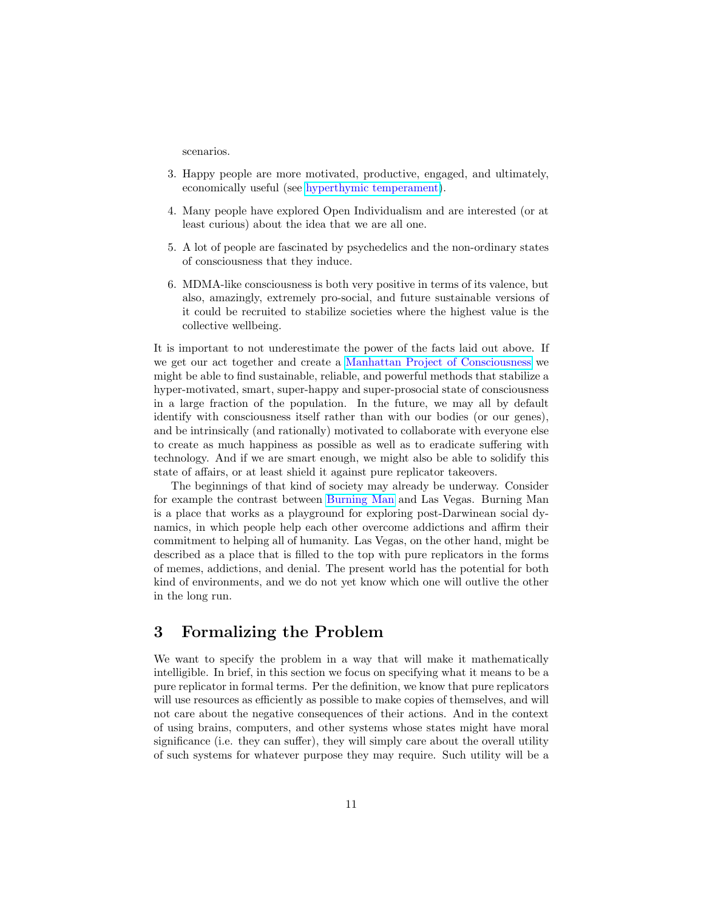scenarios.

- 3. Happy people are more motivated, productive, engaged, and ultimately, economically useful (see [hyperthymic temperament\)](https://en.wikipedia.org/wiki/Hyperthymic_temperamenthttps://qualiacomputing.com/2016/08/20/wireheading_done_right/).
- 4. Many people have explored Open Individualism and are interested (or at least curious) about the idea that we are all one.
- 5. A lot of people are fascinated by psychedelics and the non-ordinary states of consciousness that they induce.
- 6. MDMA-like consciousness is both very positive in terms of its valence, but also, amazingly, extremely pro-social, and future sustainable versions of it could be recruited to stabilize societies where the highest value is the collective wellbeing.

It is important to not underestimate the power of the facts laid out above. If we get our act together and create a [Manhattan Project of Consciousness](https://qualiacomputing.com/2016/03/29/peaceful-qualia-the-manhattan-project-of-consciousness/) we might be able to find sustainable, reliable, and powerful methods that stabilize a hyper-motivated, smart, super-happy and super-prosocial state of consciousness in a large fraction of the population. In the future, we may all by default identify with consciousness itself rather than with our bodies (or our genes), and be intrinsically (and rationally) motivated to collaborate with everyone else to create as much happiness as possible as well as to eradicate suffering with technology. And if we are smart enough, we might also be able to solidify this state of affairs, or at least shield it against pure replicator takeovers.

The beginnings of that kind of society may already be underway. Consider for example the contrast between [Burning Man](https://qualiacomputing.com/2017/09/12/burning-man/) and Las Vegas. Burning Man is a place that works as a playground for exploring post-Darwinean social dynamics, in which people help each other overcome addictions and affirm their commitment to helping all of humanity. Las Vegas, on the other hand, might be described as a place that is filled to the top with pure replicators in the forms of memes, addictions, and denial. The present world has the potential for both kind of environments, and we do not yet know which one will outlive the other in the long run.

# 3 Formalizing the Problem

We want to specify the problem in a way that will make it mathematically intelligible. In brief, in this section we focus on specifying what it means to be a pure replicator in formal terms. Per the definition, we know that pure replicators will use resources as efficiently as possible to make copies of themselves, and will not care about the negative consequences of their actions. And in the context of using brains, computers, and other systems whose states might have moral significance (i.e. they can suffer), they will simply care about the overall utility of such systems for whatever purpose they may require. Such utility will be a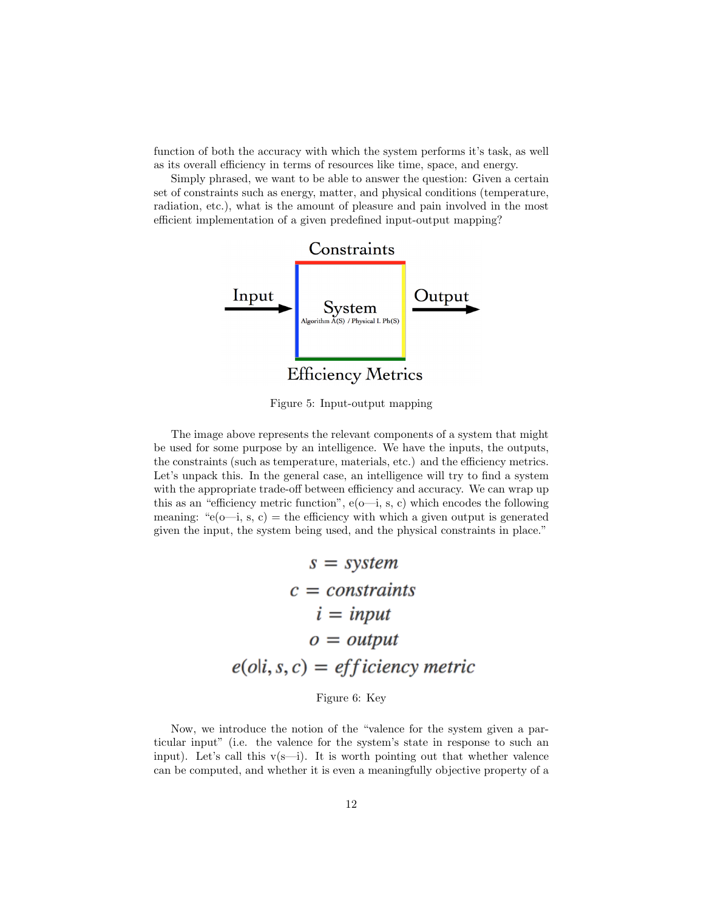function of both the accuracy with which the system performs it's task, as well as its overall efficiency in terms of resources like time, space, and energy.

Simply phrased, we want to be able to answer the question: Given a certain set of constraints such as energy, matter, and physical conditions (temperature, radiation, etc.), what is the amount of pleasure and pain involved in the most efficient implementation of a given predefined input-output mapping?



Figure 5: Input-output mapping

The image above represents the relevant components of a system that might be used for some purpose by an intelligence. We have the inputs, the outputs, the constraints (such as temperature, materials, etc.) and the efficiency metrics. Let's unpack this. In the general case, an intelligence will try to find a system with the appropriate trade-off between efficiency and accuracy. We can wrap up this as an "efficiency metric function",  $e(-i, s, c)$  which encodes the following meaning: " $e(\overline{\mathbf{0}-i}, \mathbf{s}, \mathbf{c}) =$  the efficiency with which a given output is generated given the input, the system being used, and the physical constraints in place."

$$
s = system
$$
  
\n
$$
c = constraints
$$
  
\n
$$
i = input
$$
  
\n
$$
o = output
$$
  
\n
$$
e(oli, s, c) = efficiency metric
$$

#### Figure 6: Key

Now, we introduce the notion of the "valence for the system given a particular input" (i.e. the valence for the system's state in response to such an input). Let's call this  $v(s-i)$ . It is worth pointing out that whether valence can be computed, and whether it is even a meaningfully objective property of a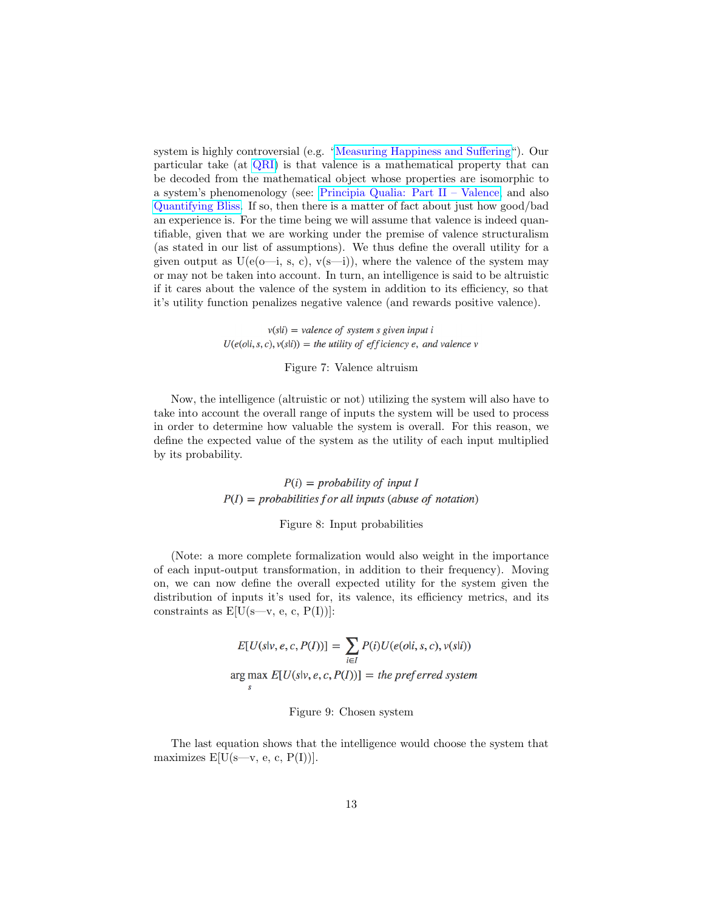system is highly controversial (e.g. ["Measuring Happiness and Suffering"](https://www.simonknutsson.com/measuring-happiness-and-suffering/##A_call_for_clarity)). Our particular take (at [QRI\)](https://www.qualiaresearchinstitute.org/) is that valence is a mathematical property that can be decoded from the mathematical object whose properties are isomorphic to a system's phenomenology (see: [Principia Qualia: Part II – Valence,](https://qualiacomputing.com/2017/05/17/principia-qualia-part-ii-valence/) and also [Quantifying Bliss.](https://qualiacomputing.com/2017/06/18/quantifying-bliss-talk-summary/) If so, then there is a matter of fact about just how good/bad an experience is. For the time being we will assume that valence is indeed quantifiable, given that we are working under the premise of valence structuralism (as stated in our list of assumptions). We thus define the overall utility for a given output as  $U(e(\text{o}-i, s, c), v(s-i))$ , where the valence of the system may or may not be taken into account. In turn, an intelligence is said to be altruistic if it cares about the valence of the system in addition to its efficiency, so that it's utility function penalizes negative valence (and rewards positive valence).

> $v(sli) = valence of system s given input i$  $U(e(oli, s, c), v(sl)) = the utility of efficiency e, and valence v$

#### Figure 7: Valence altruism

Now, the intelligence (altruistic or not) utilizing the system will also have to take into account the overall range of inputs the system will be used to process in order to determine how valuable the system is overall. For this reason, we define the expected value of the system as the utility of each input multiplied by its probability.

### $P(i) = probability of input I$  $P(I) = probabilities for all inputs (abuse of notation)$

#### Figure 8: Input probabilities

(Note: a more complete formalization would also weight in the importance of each input-output transformation, in addition to their frequency). Moving on, we can now define the overall expected utility for the system given the distribution of inputs it's used for, its valence, its efficiency metrics, and its constraints as  $E[U(s=v, e, c, P(I))]$ :

$$
E[U(s|v, e, c, P(I))] = \sum_{i \in I} P(i)U(e(oli, s, c), v(sli))
$$
  
arg max  $E[U(s|v, e, c, P(I))] = the preferred system$ 

#### Figure 9: Chosen system

The last equation shows that the intelligence would choose the system that maximizes  $E[U(s=v, e, c, P(I))].$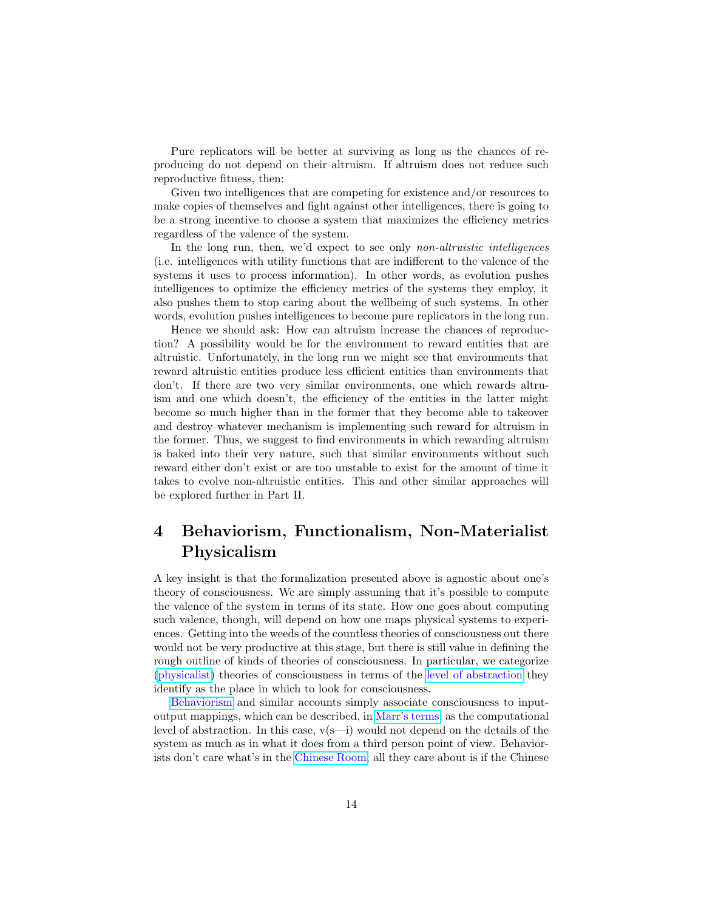Pure replicators will be better at surviving as long as the chances of reproducing do not depend on their altruism. If altruism does not reduce such reproductive fitness, then:

Given two intelligences that are competing for existence and/or resources to make copies of themselves and fight against other intelligences, there is going to be a strong incentive to choose a system that maximizes the efficiency metrics regardless of the valence of the system.

In the long run, then, we'd expect to see only *non-altruistic intelligences* (i.e. intelligences with utility functions that are indifferent to the valence of the systems it uses to process information). In other words, as evolution pushes intelligences to optimize the efficiency metrics of the systems they employ, it also pushes them to stop caring about the wellbeing of such systems. In other words, evolution pushes intelligences to become pure replicators in the long run.

Hence we should ask: How can altruism increase the chances of reproduction? A possibility would be for the environment to reward entities that are altruistic. Unfortunately, in the long run we might see that environments that reward altruistic entities produce less efficient entities than environments that don't. If there are two very similar environments, one which rewards altruism and one which doesn't, the efficiency of the entities in the latter might become so much higher than in the former that they become able to takeover and destroy whatever mechanism is implementing such reward for altruism in the former. Thus, we suggest to find environments in which rewarding altruism is baked into their very nature, such that similar environments without such reward either don't exist or are too unstable to exist for the amount of time it takes to evolve non-altruistic entities. This and other similar approaches will be explored further in Part II.

# 4 Behaviorism, Functionalism, Non-Materialist Physicalism

A key insight is that the formalization presented above is agnostic about one's theory of consciousness. We are simply assuming that it's possible to compute the valence of the system in terms of its state. How one goes about computing such valence, though, will depend on how one maps physical systems to experiences. Getting into the weeds of the countless theories of consciousness out there would not be very productive at this stage, but there is still value in defining the rough outline of kinds of theories of consciousness. In particular, we categorize [\(physicalist\)](https://plato.stanford.edu/entries/physicalism/) theories of consciousness in terms of the [level of abstraction](https://qualiacomputing.com/2015/04/19/why-not-computing-qualia/) they identify as the place in which to look for consciousness.

[Behaviorism](https://plato.stanford.edu/entries/behaviorism/) and similar accounts simply associate consciousness to inputoutput mappings, which can be described, in [Marr's terms,](https://www.albany.edu/~ron/papers/marrlevl.html) as the computational level of abstraction. In this case,  $v(s-i)$  would not depend on the details of the system as much as in what it does from a third person point of view. Behaviorists don't care what's in the [Chinese Room;](https://plato.stanford.edu/entries/chinese-room/) all they care about is if the Chinese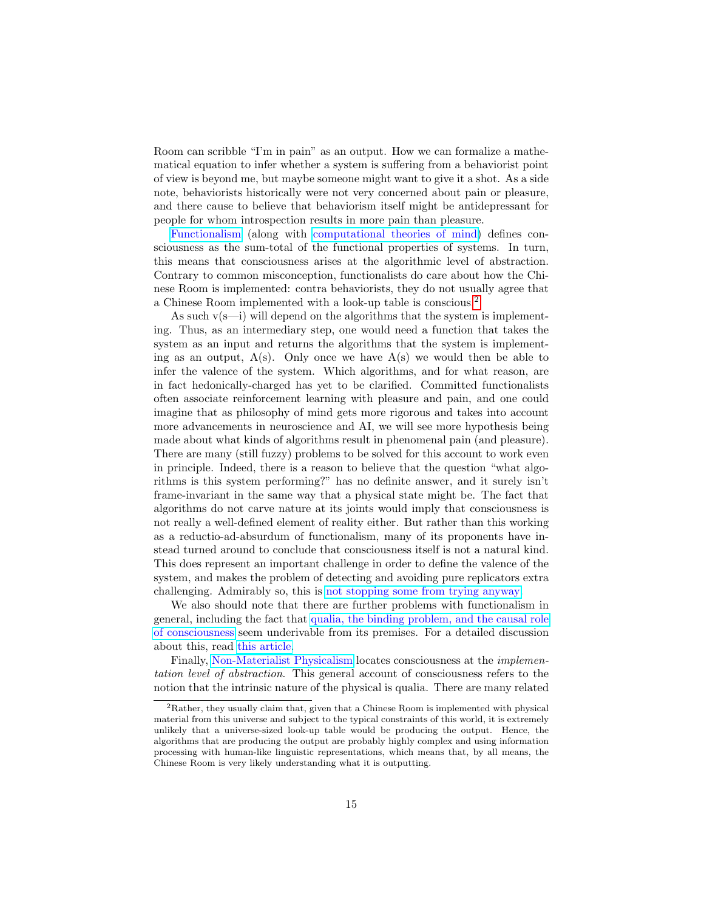Room can scribble "I'm in pain" as an output. How we can formalize a mathematical equation to infer whether a system is suffering from a behaviorist point of view is beyond me, but maybe someone might want to give it a shot. As a side note, behaviorists historically were not very concerned about pain or pleasure, and there cause to believe that behaviorism itself might be antidepressant for people for whom introspection results in more pain than pleasure.

[Functionalism](https://plato.stanford.edu/entries/functionalism/) (along with [computational theories of mind\)](https://plato.stanford.edu/entries/computational-mind/##MacFun) defines consciousness as the sum-total of the functional properties of systems. In turn, this means that consciousness arises at the algorithmic level of abstraction. Contrary to common misconception, functionalists do care about how the Chinese Room is implemented: contra behaviorists, they do not usually agree that a Chinese Room implemented with a look-up table is conscious.[2](#page-14-0)

As such  $v(s-i)$  will depend on the algorithms that the system is implementing. Thus, as an intermediary step, one would need a function that takes the system as an input and returns the algorithms that the system is implementing as an output,  $A(s)$ . Only once we have  $A(s)$  we would then be able to infer the valence of the system. Which algorithms, and for what reason, are in fact hedonically-charged has yet to be clarified. Committed functionalists often associate reinforcement learning with pleasure and pain, and one could imagine that as philosophy of mind gets more rigorous and takes into account more advancements in neuroscience and AI, we will see more hypothesis being made about what kinds of algorithms result in phenomenal pain (and pleasure). There are many (still fuzzy) problems to be solved for this account to work even in principle. Indeed, there is a reason to believe that the question "what algorithms is this system performing?" has no definite answer, and it surely isn't frame-invariant in the same way that a physical state might be. The fact that algorithms do not carve nature at its joints would imply that consciousness is not really a well-defined element of reality either. But rather than this working as a reductio-ad-absurdum of functionalism, many of its proponents have instead turned around to conclude that consciousness itself is not a natural kind. This does represent an important challenge in order to define the valence of the system, and makes the problem of detecting and avoiding pure replicators extra challenging. Admirably so, this is [not stopping some from trying anyway.](https://longtermrisk.org/the-eliminativist-approach-to-consciousness/##Eliminativist_sentience_valuation)

We also should note that there are further problems with functionalism in general, including the fact that [qualia, the binding problem, and the causal role](https://qualiacomputing.com/2017/02/19/raising-the-table-stakes-for-successful-theories-of-consciousness/) [of consciousness](https://qualiacomputing.com/2017/02/19/raising-the-table-stakes-for-successful-theories-of-consciousness/) seem underivable from its premises. For a detailed discussion about this, read [this article.](https://qualiacomputing.com/2017/07/22/why-i-think-the-foundational-research-institute-should-rethink-its-approach/)

Finally, [Non-Materialist Physicalism](https://www.physicalism.com/) locates consciousness at the implementation level of abstraction. This general account of consciousness refers to the notion that the intrinsic nature of the physical is qualia. There are many related

<span id="page-14-0"></span><sup>2</sup>Rather, they usually claim that, given that a Chinese Room is implemented with physical material from this universe and subject to the typical constraints of this world, it is extremely unlikely that a universe-sized look-up table would be producing the output. Hence, the algorithms that are producing the output are probably highly complex and using information processing with human-like linguistic representations, which means that, by all means, the Chinese Room is very likely understanding what it is outputting.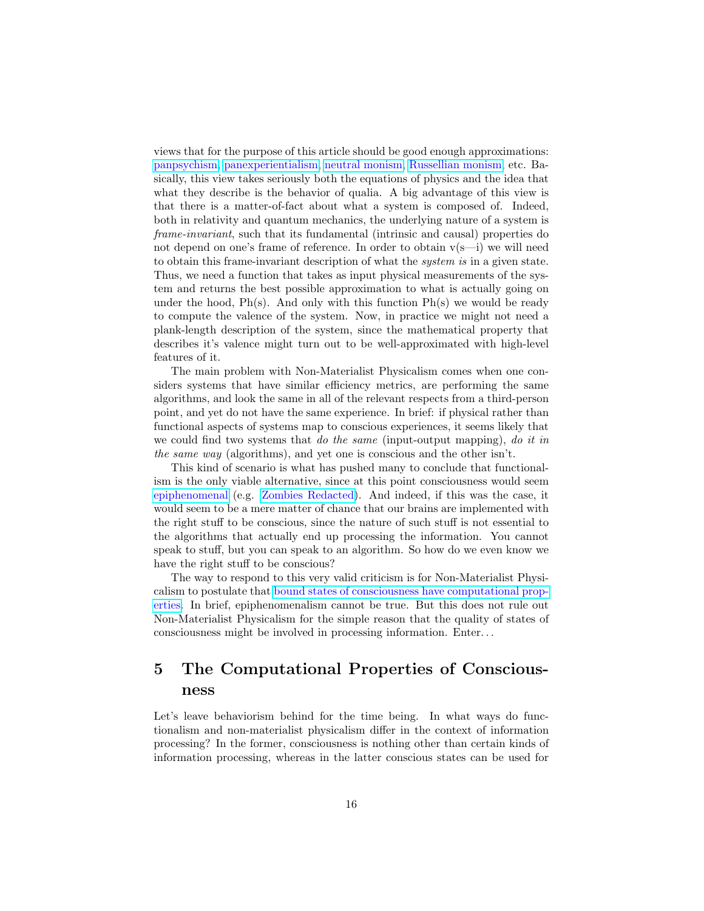views that for the purpose of this article should be good enough approximations: [panpsychism,](https://plato.stanford.edu/entries/panpsychism/) [panexperientialism,](http://www.eoht.info/page/Panexperientialism) [neutral monism,](https://plato.stanford.edu/entries/neutral-monism/) [Russellian monism,](https://philpapers.org/browse/russellian-monism) etc. Basically, this view takes seriously both the equations of physics and the idea that what they describe is the behavior of qualia. A big advantage of this view is that there is a matter-of-fact about what a system is composed of. Indeed, both in relativity and quantum mechanics, the underlying nature of a system is frame-invariant, such that its fundamental (intrinsic and causal) properties do not depend on one's frame of reference. In order to obtain  $v(s-i)$  we will need to obtain this frame-invariant description of what the system is in a given state. Thus, we need a function that takes as input physical measurements of the system and returns the best possible approximation to what is actually going on under the hood,  $Ph(s)$ . And only with this function  $Ph(s)$  we would be ready to compute the valence of the system. Now, in practice we might not need a plank-length description of the system, since the mathematical property that describes it's valence might turn out to be well-approximated with high-level features of it.

The main problem with Non-Materialist Physicalism comes when one considers systems that have similar efficiency metrics, are performing the same algorithms, and look the same in all of the relevant respects from a third-person point, and yet do not have the same experience. In brief: if physical rather than functional aspects of systems map to conscious experiences, it seems likely that we could find two systems that do the same (input-output mapping), do it in the same way (algorithms), and yet one is conscious and the other isn't.

This kind of scenario is what has pushed many to conclude that functionalism is the only viable alternative, since at this point consciousness would seem [epiphenomenal](https://plato.stanford.edu/entries/epiphenomenalism/) (e.g. [Zombies Redacted\)](https://www.lesswrong.com/posts/7DmA3yWwa6AT5jFXt/zombies-redacted). And indeed, if this was the case, it would seem to be a mere matter of chance that our brains are implemented with the right stuff to be conscious, since the nature of such stuff is not essential to the algorithms that actually end up processing the information. You cannot speak to stuff, but you can speak to an algorithm. So how do we even know we have the right stuff to be conscious?

The way to respond to this very valid criticism is for Non-Materialist Physicalism to postulate that [bound states of consciousness have computational prop](https://qualiacomputing.com/2016/12/16/the-binding-problem/)[erties.](https://qualiacomputing.com/2016/12/16/the-binding-problem/) In brief, epiphenomenalism cannot be true. But this does not rule out Non-Materialist Physicalism for the simple reason that the quality of states of consciousness might be involved in processing information. Enter. . .

# 5 The Computational Properties of Consciousness

Let's leave behaviorism behind for the time being. In what ways do functionalism and non-materialist physicalism differ in the context of information processing? In the former, consciousness is nothing other than certain kinds of information processing, whereas in the latter conscious states can be used for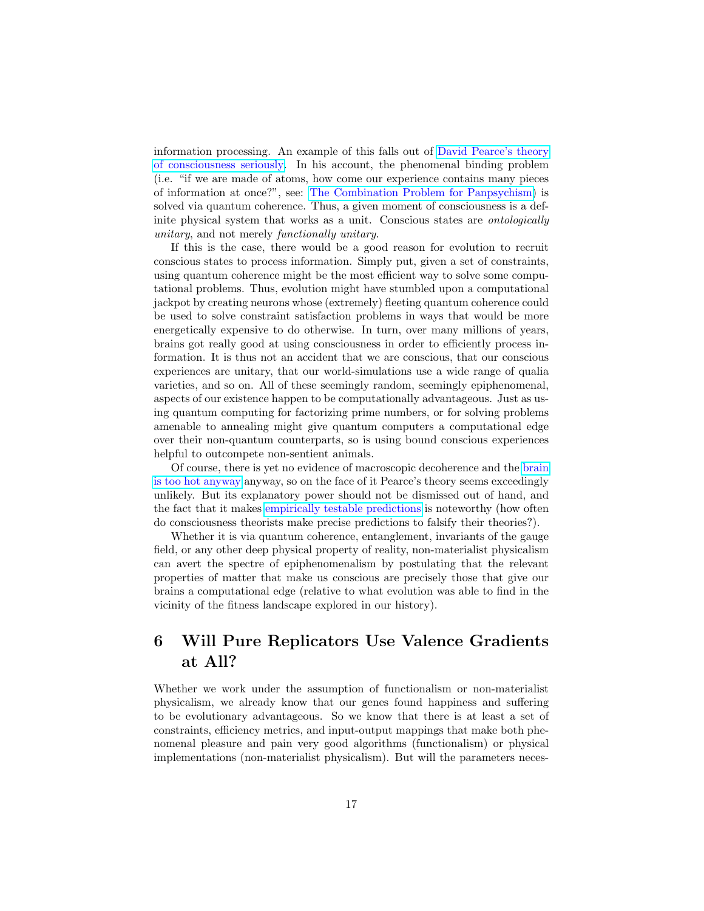information processing. An example of this falls out of [David Pearce's theory](https://qualiacomputing.com/2016/11/08/david-pearce-on-the-schrodingers-neurons-conjecture/) [of consciousness seriously.](https://qualiacomputing.com/2016/11/08/david-pearce-on-the-schrodingers-neurons-conjecture/) In his account, the phenomenal binding problem (i.e. "if we are made of atoms, how come our experience contains many pieces of information at once?", see: [The Combination Problem for Panpsychism\)](http://consc.net/papers/combination.pdf) is solved via quantum coherence. Thus, a given moment of consciousness is a definite physical system that works as a unit. Conscious states are ontologically unitary, and not merely functionally unitary.

If this is the case, there would be a good reason for evolution to recruit conscious states to process information. Simply put, given a set of constraints, using quantum coherence might be the most efficient way to solve some computational problems. Thus, evolution might have stumbled upon a computational jackpot by creating neurons whose (extremely) fleeting quantum coherence could be used to solve constraint satisfaction problems in ways that would be more energetically expensive to do otherwise. In turn, over many millions of years, brains got really good at using consciousness in order to efficiently process information. It is thus not an accident that we are conscious, that our conscious experiences are unitary, that our world-simulations use a wide range of qualia varieties, and so on. All of these seemingly random, seemingly epiphenomenal, aspects of our existence happen to be computationally advantageous. Just as using quantum computing for factorizing prime numbers, or for solving problems amenable to annealing might give quantum computers a computational edge over their non-quantum counterparts, so is using bound conscious experiences helpful to outcompete non-sentient animals.

Of course, there is yet no evidence of macroscopic decoherence and the [brain](https://arxiv.org/abs/quant-ph/9907009) [is too hot anyway](https://arxiv.org/abs/quant-ph/9907009) anyway, so on the face of it Pearce's theory seems exceedingly unlikely. But its explanatory power should not be dismissed out of hand, and the fact that it makes [empirically testable predictions](https://qualiacomputing.com/2016/11/15/schrodingers-neurons-david-pearce-at-the-2016-science-of-consciousness-conference-in-tucson/) is noteworthy (how often do consciousness theorists make precise predictions to falsify their theories?).

Whether it is via quantum coherence, entanglement, invariants of the gauge field, or any other deep physical property of reality, non-materialist physicalism can avert the spectre of epiphenomenalism by postulating that the relevant properties of matter that make us conscious are precisely those that give our brains a computational edge (relative to what evolution was able to find in the vicinity of the fitness landscape explored in our history).

# 6 Will Pure Replicators Use Valence Gradients at All?

Whether we work under the assumption of functionalism or non-materialist physicalism, we already know that our genes found happiness and suffering to be evolutionary advantageous. So we know that there is at least a set of constraints, efficiency metrics, and input-output mappings that make both phenomenal pleasure and pain very good algorithms (functionalism) or physical implementations (non-materialist physicalism). But will the parameters neces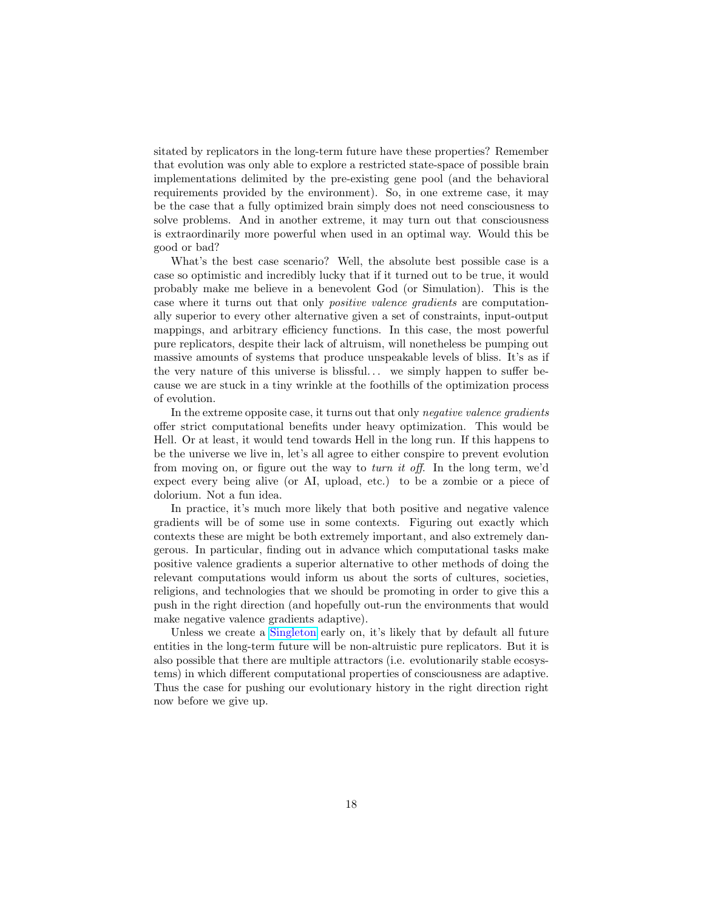sitated by replicators in the long-term future have these properties? Remember that evolution was only able to explore a restricted state-space of possible brain implementations delimited by the pre-existing gene pool (and the behavioral requirements provided by the environment). So, in one extreme case, it may be the case that a fully optimized brain simply does not need consciousness to solve problems. And in another extreme, it may turn out that consciousness is extraordinarily more powerful when used in an optimal way. Would this be good or bad?

What's the best case scenario? Well, the absolute best possible case is a case so optimistic and incredibly lucky that if it turned out to be true, it would probably make me believe in a benevolent God (or Simulation). This is the case where it turns out that only positive valence gradients are computationally superior to every other alternative given a set of constraints, input-output mappings, and arbitrary efficiency functions. In this case, the most powerful pure replicators, despite their lack of altruism, will nonetheless be pumping out massive amounts of systems that produce unspeakable levels of bliss. It's as if the very nature of this universe is blissful... we simply happen to suffer because we are stuck in a tiny wrinkle at the foothills of the optimization process of evolution.

In the extreme opposite case, it turns out that only negative valence gradients offer strict computational benefits under heavy optimization. This would be Hell. Or at least, it would tend towards Hell in the long run. If this happens to be the universe we live in, let's all agree to either conspire to prevent evolution from moving on, or figure out the way to turn it off. In the long term, we'd expect every being alive (or AI, upload, etc.) to be a zombie or a piece of dolorium. Not a fun idea.

In practice, it's much more likely that both positive and negative valence gradients will be of some use in some contexts. Figuring out exactly which contexts these are might be both extremely important, and also extremely dangerous. In particular, finding out in advance which computational tasks make positive valence gradients a superior alternative to other methods of doing the relevant computations would inform us about the sorts of cultures, societies, religions, and technologies that we should be promoting in order to give this a push in the right direction (and hopefully out-run the environments that would make negative valence gradients adaptive).

Unless we create a [Singleton](https://www.nickbostrom.com/fut/singleton.html) early on, it's likely that by default all future entities in the long-term future will be non-altruistic pure replicators. But it is also possible that there are multiple attractors (i.e. evolutionarily stable ecosystems) in which different computational properties of consciousness are adaptive. Thus the case for pushing our evolutionary history in the right direction right now before we give up.